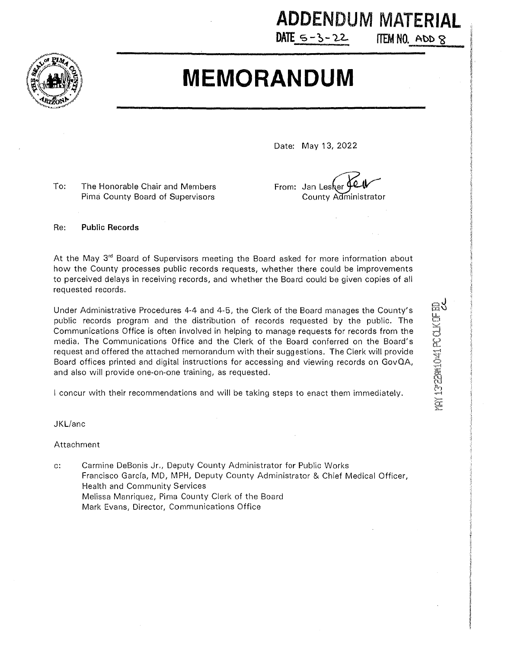

## **MEMORANDUM**

Date: May 13, 2022

DATE  $5 - 3 - 22$ 

To: The Honorable Chair and Members Pima County Board of Supervisors

From: Jan Lesher County Administrator

**ADDENDUM MATERIAL** 

- **ITEM NO. Abt) <sup>i</sup>**

Re: **Public Records** 

At the May 3<sup>rd</sup> Board of Supervisors meeting the Board asked for more information about how the County processes public records requests, whether there could be improvements to perceived delays in receiving records, and whether the Board could be given copies of all requested records.

Under Administrative Procedures 4-4 and 4-5, the Clerk of the Board manages the County's public records program and the distribution of records requested by the public. The Communications Office is often involved in helping to manage requests for records from the media. The Communications Office and the Clerk of the Board conferred on the Board's request and offered the attached memorandum with their suggestions. The Clerk will provide Board offices printed and digital instructions for accessing and viewing records on GovOA, and also will provide one-on-one training, as requested.

I concur with their recommendations and will be taking steps to enact them immediately.

JKL/anc

Attachment

c: Carmine DeBonis Jr., Deputy County Administrator for Public Works Francisco Garcfa, MD, MPH, Deputy County Administrator & Chief Medical Officer, Health and Community Services Melissa Manriquez, Pima County Clerk of the Board Mark Evans, Director, Communications Office

~i~~i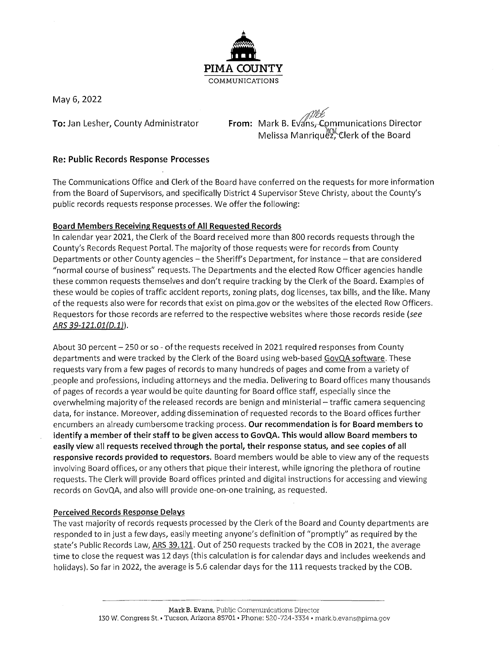

May 6, 2022

**To:** Jan Lesher, County Administrator

/pM9E **From:** Mark B. Eva'hs,-Cemmunications Director Melissa Manriquez, Clerk of the Board

## **Re: Public Records Response Processes**

The Communications Office and Clerk of the Board have conferred on the requests for more information from the Board of Supervisors, and specifically District 4 Supervisor Steve Christy, about the County's public records requests response processes. We offer the following:

## **Board Members Receiving Requests of All Requested Records**

In calendar year 2021, the Clerk of the Board received more than 800 records requests through the County's Records Request Portal. The majority of those requests were for records from County Departments or other County agencies - the Sheriff's Department, for instance - that are considered "normal course of business" requests. The Departments and the elected Row Officer agencies handle these common requests themselves and don't require tracking by the Clerk of the Board. Examples of these would be copies of traffic accident reports, zoning plats, dog licenses, tax bills, and the like. Many of the requests also were for records that exist on pima.gov or the websites of the elected Row Officers. Requestors for those records are referred to the respective websites where those records reside (see **ARS 39-121.01(0.1)).** 

About 30 percent - 250 or so - of the requests received in 2021 required responses from County departments and were tracked by the Clerk of the Board using web-based GovQA software. These requests vary from a few pages of records to many hundreds of pages and come from a variety of ,people and professions, including attorneys and the media. Delivering to Board offices many thousands of pages of records a year would be quite daunting for Board office staff, especially since the overwhelming majority of the released records are benign and ministerial – traffic camera sequencing data, for instance. Moreover, adding dissemination of requested records to the Board offices further encumbers an already cumbersome tracking process. **Our recommendation is for Board members to identify a member of their staff to be given access to GovQA. This would allow Board members to easily view all requests received through the portal, their response status, and see copies of all responsive records provided to requestors.** Board members would be able to view any of the requests involving Board offices, or any others that pique their interest, while ignoring the plethora of routine requests. The Clerk will provide Board offices printed and digital instructions for accessing and viewing records on GovQA, and also will provide one-on-one training, as requested.

## **Perceived Records Response Delays**

The vast majority of records requests processed by the Clerk of the Board and County departments are responded to in just a few days, easily meeting anyone's definition of "promptly" as required by the state's Public Records Law, ARS 39.121. Out of 250 requests tracked by the COB in 2021, the average time to close the request was 12 days (this calculation is for calendar days and includes weekends and holidays). So far in 2022, the average is 5.6 calendar days for the 111 requests tracked by the COB.